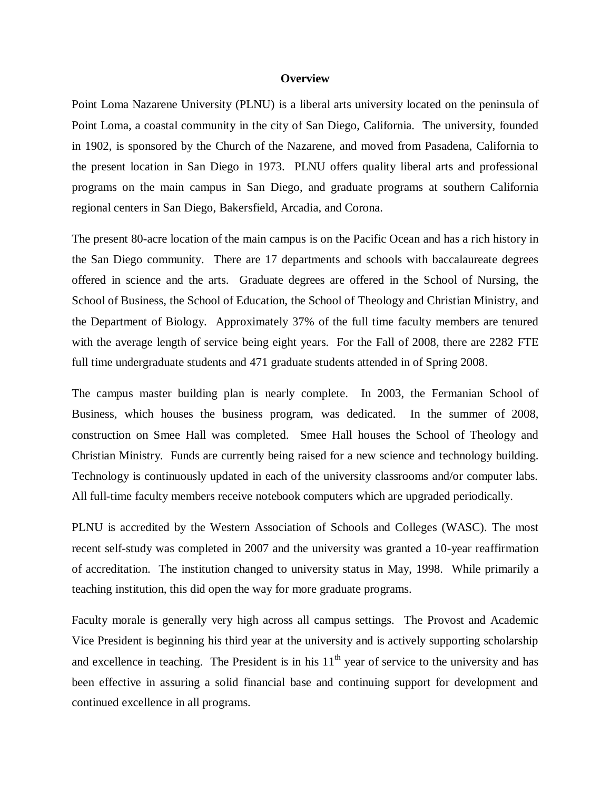## **Overview**

Point Loma Nazarene University (PLNU) is a liberal arts university located on the peninsula of Point Loma, a coastal community in the city of San Diego, California. The university, founded in 1902, is sponsored by the Church of the Nazarene, and moved from Pasadena, California to the present location in San Diego in 1973. PLNU offers quality liberal arts and professional programs on the main campus in San Diego, and graduate programs at southern California regional centers in San Diego, Bakersfield, Arcadia, and Corona.

The present 80-acre location of the main campus is on the Pacific Ocean and has a rich history in the San Diego community. There are 17 departments and schools with baccalaureate degrees offered in science and the arts. Graduate degrees are offered in the School of Nursing, the School of Business, the School of Education, the School of Theology and Christian Ministry, and the Department of Biology. Approximately 37% of the full time faculty members are tenured with the average length of service being eight years. For the Fall of 2008, there are 2282 FTE full time undergraduate students and 471 graduate students attended in of Spring 2008.

The campus master building plan is nearly complete. In 2003, the Fermanian School of Business, which houses the business program, was dedicated. In the summer of 2008, construction on Smee Hall was completed. Smee Hall houses the School of Theology and Christian Ministry. Funds are currently being raised for a new science and technology building. Technology is continuously updated in each of the university classrooms and/or computer labs. All full-time faculty members receive notebook computers which are upgraded periodically.

PLNU is accredited by the Western Association of Schools and Colleges (WASC). The most recent self-study was completed in 2007 and the university was granted a 10-year reaffirmation of accreditation. The institution changed to university status in May, 1998. While primarily a teaching institution, this did open the way for more graduate programs.

Faculty morale is generally very high across all campus settings. The Provost and Academic Vice President is beginning his third year at the university and is actively supporting scholarship and excellence in teaching. The President is in his  $11<sup>th</sup>$  year of service to the university and has been effective in assuring a solid financial base and continuing support for development and continued excellence in all programs.